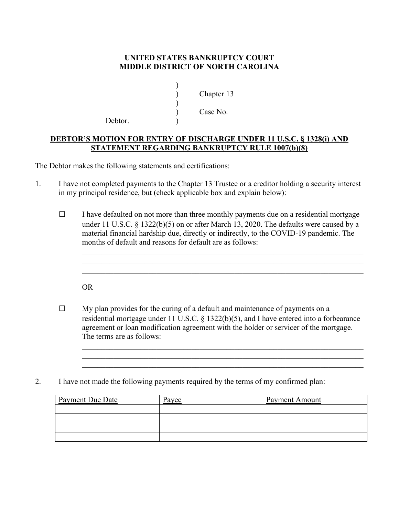## **UNITED STATES BANKRUPTCY COURT MIDDLE DISTRICT OF NORTH CAROLINA**

 ) Chapter 13 ) Case No.

Debtor.

 $)$ 

 $\overline{\phantom{a}}$ 

## **DEBTOR'S MOTION FOR ENTRY OF DISCHARGE UNDER 11 U.S.C. § 1328(i) AND STATEMENT REGARDING BANKRUPTCY RULE 1007(b)(8)**

The Debtor makes the following statements and certifications:

- 1. I have not completed payments to the Chapter 13 Trustee or a creditor holding a security interest in my principal residence, but (check applicable box and explain below):
	- $\Box$  I have defaulted on not more than three monthly payments due on a residential mortgage under 11 U.S.C. § 1322(b)(5) on or after March 13, 2020. The defaults were caused by a material financial hardship due, directly or indirectly, to the COVID-19 pandemic. The months of default and reasons for default are as follows:

OR

- $\Box$  My plan provides for the curing of a default and maintenance of payments on a residential mortgage under 11 U.S.C. § 1322(b)(5), and I have entered into a forbearance agreement or loan modification agreement with the holder or servicer of the mortgage. The terms are as follows:  $\mathcal{L}_\text{max} = \frac{1}{2} \sum_{i=1}^{n} \frac{1}{2} \sum_{i=1}^{n} \frac{1}{2} \sum_{i=1}^{n} \frac{1}{2} \sum_{i=1}^{n} \frac{1}{2} \sum_{i=1}^{n} \frac{1}{2} \sum_{i=1}^{n} \frac{1}{2} \sum_{i=1}^{n} \frac{1}{2} \sum_{i=1}^{n} \frac{1}{2} \sum_{i=1}^{n} \frac{1}{2} \sum_{i=1}^{n} \frac{1}{2} \sum_{i=1}^{n} \frac{1}{2} \sum_{i=1}^{n} \frac{1$
- 2. I have not made the following payments required by the terms of my confirmed plan:

| Payment Due Date | Payee | <b>Payment Amount</b> |
|------------------|-------|-----------------------|
|                  |       |                       |
|                  |       |                       |
|                  |       |                       |
|                  |       |                       |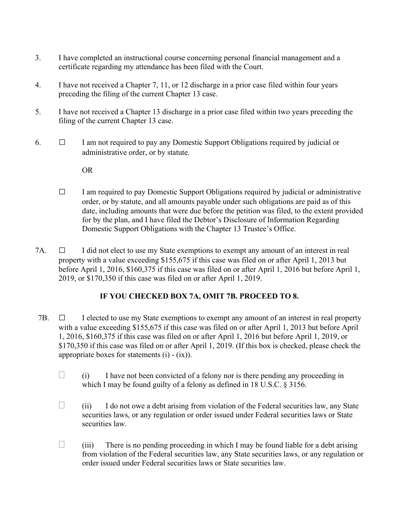- 3. I have completed an instructional course concerning personal financial management and a certificate regarding my attendance has been filed with the Court.
- 4. I have not received a Chapter 7, 11, or 12 discharge in a prior case filed within four years preceding the filing of the current Chapter 13 case.
- 5. I have not received a Chapter 13 discharge in a prior case filed within two years preceding the filing of the current Chapter 13 case.
- 6.  $\Box$  I am not required to pay any Domestic Support Obligations required by judicial or administrative order, or by statute.

OR

- $\Box$  I am required to pay Domestic Support Obligations required by judicial or administrative order, or by statute, and all amounts payable under such obligations are paid as of this date, including amounts that were due before the petition was filed, to the extent provided for by the plan, and I have filed the Debtor's Disclosure of Information Regarding Domestic Support Obligations with the Chapter 13 Trustee's Office.
- 7A.  $\Box$  I did not elect to use my State exemptions to exempt any amount of an interest in real property with a value exceeding \$155,675 if this case was filed on or after April 1, 2013 but before April 1, 2016, \$160,375 if this case was filed on or after April 1, 2016 but before April 1, 2019, or \$170,350 if this case was filed on or after April 1, 2019.

## **IF YOU CHECKED BOX 7A, OMIT 7B. PROCEED TO 8.**

- 7B.  $\Box$  I elected to use my State exemptions to exempt any amount of an interest in real property with a value exceeding \$155,675 if this case was filed on or after April 1, 2013 but before April 1, 2016, \$160,375 if this case was filed on or after April 1, 2016 but before April 1, 2019, or \$170,350 if this case was filed on or after April 1, 2019. (If this box is checked, please check the appropriate boxes for statements  $(i) - (ix)$ .
	- $\Box$  (i) I have not been convicted of a felony nor is there pending any proceeding in which I may be found guilty of a felony as defined in 18 U.S.C. § 3156.
	- $\Box$  (ii) I do not owe a debt arising from violation of the Federal securities law, any State securities laws, or any regulation or order issued under Federal securities laws or State securities law.
	- $\Box$  (iii) There is no pending proceeding in which I may be found liable for a debt arising from violation of the Federal securities law, any State securities laws, or any regulation or order issued under Federal securities laws or State securities law.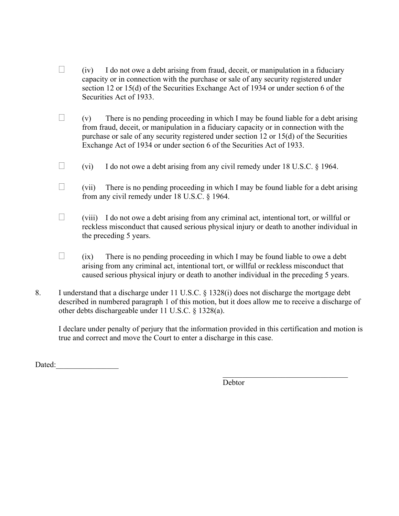- $\Box$  (iv) I do not owe a debt arising from fraud, deceit, or manipulation in a fiduciary capacity or in connection with the purchase or sale of any security registered under section 12 or 15(d) of the Securities Exchange Act of 1934 or under section 6 of the Securities Act of 1933.
- $\Box$  (v) There is no pending proceeding in which I may be found liable for a debt arising from fraud, deceit, or manipulation in a fiduciary capacity or in connection with the purchase or sale of any security registered under section 12 or 15(d) of the Securities Exchange Act of 1934 or under section 6 of the Securities Act of 1933.
- $\Box$  (vi) I do not owe a debt arising from any civil remedy under 18 U.S.C. § 1964.
- $\Box$  (vii) There is no pending proceeding in which I may be found liable for a debt arising from any civil remedy under 18 U.S.C. § 1964.
- $\Box$  (viii) I do not owe a debt arising from any criminal act, intentional tort, or will ful or reckless misconduct that caused serious physical injury or death to another individual in the preceding 5 years.
- $\Box$  (ix) There is no pending proceeding in which I may be found liable to owe a debt arising from any criminal act, intentional tort, or willful or reckless misconduct that caused serious physical injury or death to another individual in the preceding 5 years.
- 8. I understand that a discharge under 11 U.S.C. § 1328(i) does not discharge the mortgage debt described in numbered paragraph 1 of this motion, but it does allow me to receive a discharge of other debts dischargeable under 11 U.S.C. § 1328(a).

I declare under penalty of perjury that the information provided in this certification and motion is true and correct and move the Court to enter a discharge in this case.

Dated:

Debtor